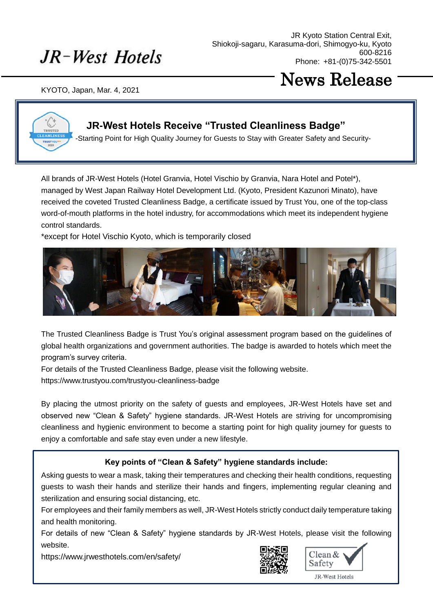## JR-West Hotels

JR Kyoto Station Central Exit, Shiokoji-sagaru, Karasuma-dori, Shimogyo-ku, Kyoto 600-8216 Phone: +81-(0)75-342-5501

KYOTO, Japan, Mar. 4, 2021

## News Release



### **JR-West Hotels Receive "Trusted Cleanliness Badge"**

-Starting Point for High Quality Journey for Guests to Stay with Greater Safety and Security-

All brands of JR-West Hotels (Hotel Granvia, Hotel Vischio by Granvia, Nara Hotel and Potel\*), managed by West Japan Railway Hotel Development Ltd. (Kyoto, President Kazunori Minato), have received the coveted Trusted Cleanliness Badge, a certificate issued by Trust You, one of the top-class word-of-mouth platforms in the hotel industry, for accommodations which meet its independent hygiene control standards.

\*except for Hotel Vischio Kyoto, which is temporarily closed



The Trusted Cleanliness Badge is Trust You's original assessment program based on the guidelines of global health organizations and government authorities. The badge is awarded to hotels which meet the program's survey criteria.

For details of the Trusted Cleanliness Badge, please visit the following website.

https://www.trustyou.com/trustyou-cleanliness-badge

By placing the utmost priority on the safety of guests and employees, JR-West Hotels have set and observed new "Clean & Safety" hygiene standards. JR-West Hotels are striving for uncompromising cleanliness and hygienic environment to become a starting point for high quality journey for guests to enjoy a comfortable and safe stay even under a new lifestyle.

### **Key points of "Clean & Safety" hygiene standards include:**

Asking guests to wear a mask, taking their temperatures and checking their health conditions, requesting guests to wash their hands and sterilize their hands and fingers, implementing regular cleaning and sterilization and ensuring social distancing, etc.

For employees and their family members as well, JR-West Hotels strictly conduct daily temperature taking and health monitoring.

For details of new "Clean & Safety" hygiene standards by JR-West Hotels, please visit the following website.

https://www.jrwesthotels.com/en/safety/